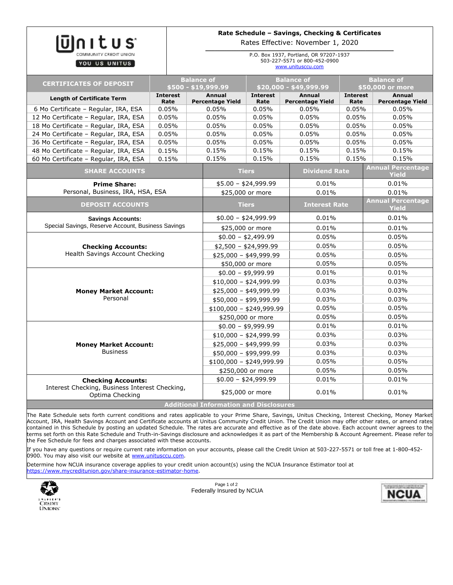| Itus                                                                           |                                          | Rate Schedule - Savings, Checking & Certificates<br>Rates Effective: November 1, 2020       |                                             |                                          |                         |                                          |  |
|--------------------------------------------------------------------------------|------------------------------------------|---------------------------------------------------------------------------------------------|---------------------------------------------|------------------------------------------|-------------------------|------------------------------------------|--|
| YOU US UNITUS                                                                  |                                          | P.O. Box 1937, Portland, OR 97207-1937<br>503-227-5571 or 800-452-0900<br>www.unitusccu.com |                                             |                                          |                         |                                          |  |
| <b>CERTIFICATES OF DEPOSIT</b>                                                 | <b>Balance of</b><br>\$500 - \$19,999.99 |                                                                                             | <b>Balance of</b><br>\$20,000 - \$49,999.99 |                                          |                         | <b>Balance of</b><br>\$50,000 or more    |  |
| <b>Length of Certificate Term</b>                                              | <b>Interest</b><br>Rate                  | <b>Annual</b><br><b>Percentage Yield</b>                                                    | <b>Interest</b><br>Rate                     | <b>Annual</b><br><b>Percentage Yield</b> | <b>Interest</b><br>Rate | Annual<br><b>Percentage Yield</b>        |  |
| 6 Mo Certificate - Regular, IRA, ESA                                           | 0.05%                                    | 0.05%                                                                                       | 0.05%                                       | 0.05%                                    | 0.05%                   | 0.05%                                    |  |
| 12 Mo Certificate - Regular, IRA, ESA                                          | 0.05%                                    | 0.05%                                                                                       | 0.05%                                       | 0.05%                                    | 0.05%                   | 0.05%                                    |  |
| 18 Mo Certificate - Regular, IRA, ESA                                          | 0.05%                                    | 0.05%                                                                                       | 0.05%                                       | 0.05%                                    | 0.05%                   | 0.05%                                    |  |
| 24 Mo Certificate - Regular, IRA, ESA                                          | 0.05%                                    | 0.05%                                                                                       | 0.05%                                       | 0.05%                                    | 0.05%                   | 0.05%                                    |  |
| 36 Mo Certificate - Regular, IRA, ESA                                          | 0.05%                                    | 0.05%                                                                                       | 0.05%                                       | 0.05%                                    | 0.05%                   | 0.05%                                    |  |
| 48 Mo Certificate - Regular, IRA, ESA                                          | 0.15%                                    | 0.15%                                                                                       | 0.15%                                       | 0.15%                                    | 0.15%                   | 0.15%                                    |  |
| 60 Mo Certificate - Regular, IRA, ESA                                          | 0.15%                                    | 0.15%                                                                                       | 0.15%                                       | 0.15%                                    | 0.15%                   | 0.15%                                    |  |
| <b>SHARE ACCOUNTS</b>                                                          |                                          |                                                                                             | <b>Tiers</b>                                |                                          | <b>Dividend Rate</b>    | <b>Annual Percentage</b><br><b>Yield</b> |  |
| <b>Prime Share:</b><br>Personal, Business, IRA, HSA, ESA                       |                                          |                                                                                             | $$5.00 - $24,999.99$                        |                                          |                         | 0.01%                                    |  |
|                                                                                |                                          |                                                                                             | \$25,000 or more                            | 0.01%                                    |                         | 0.01%                                    |  |
| <b>DEPOSIT ACCOUNTS</b>                                                        |                                          |                                                                                             | <b>Tiers</b>                                |                                          | <b>Interest Rate</b>    | <b>Annual Percentage</b><br><b>Yield</b> |  |
| <b>Savings Accounts:</b><br>Special Savings, Reserve Account, Business Savings |                                          |                                                                                             | $$0.00 - $24,999.99$                        |                                          |                         | 0.01%                                    |  |
|                                                                                |                                          |                                                                                             | \$25,000 or more                            |                                          |                         | 0.01%                                    |  |
| <b>Checking Accounts:</b><br>Health Savings Account Checking                   |                                          |                                                                                             | $$0.00 - $2,499.99$                         |                                          |                         | 0.05%                                    |  |
|                                                                                |                                          |                                                                                             | $$2,500 - $24,999.99$                       |                                          |                         | 0.05%                                    |  |
|                                                                                |                                          |                                                                                             | $$25,000 - $49,999.99$                      |                                          |                         | 0.05%                                    |  |
|                                                                                |                                          |                                                                                             | \$50,000 or more                            |                                          |                         | 0.05%                                    |  |
| <b>Money Market Account:</b><br>Personal                                       |                                          |                                                                                             | $$0.00 - $9,999.99$                         |                                          |                         | 0.01%                                    |  |
|                                                                                |                                          |                                                                                             | $$10,000 - $24,999.99$                      |                                          |                         | 0.03%                                    |  |
|                                                                                |                                          |                                                                                             | $$25,000 - $49,999.99$                      |                                          |                         | 0.03%                                    |  |
|                                                                                |                                          |                                                                                             | $$50,000 - $99,999.99$                      |                                          |                         | 0.03%                                    |  |
|                                                                                |                                          |                                                                                             | $$100,000 - $249,999.99$                    |                                          |                         | 0.05%                                    |  |
|                                                                                |                                          |                                                                                             | \$250,000 or more                           |                                          |                         | 0.05%                                    |  |
| <b>Money Market Account:</b><br><b>Business</b>                                |                                          |                                                                                             | $$0.00 - $9,999.99$                         |                                          |                         | 0.01%                                    |  |
|                                                                                |                                          |                                                                                             | $$10,000 - $24,999.99$                      |                                          |                         | 0.03%                                    |  |
|                                                                                |                                          |                                                                                             | $$25,000 - $49,999.99$                      |                                          |                         | 0.03%                                    |  |
|                                                                                |                                          |                                                                                             | $$50,000 - $99,999.99$                      |                                          |                         | 0.03%                                    |  |
|                                                                                |                                          |                                                                                             | $$100,000 - $249,999.99$                    |                                          |                         | 0.05%                                    |  |
|                                                                                |                                          |                                                                                             | \$250,000 or more                           |                                          |                         | 0.05%                                    |  |
| <b>Checking Accounts:</b>                                                      |                                          |                                                                                             | $$0.00 - $24,999.99$                        |                                          |                         | 0.01%                                    |  |
| Interest Checking, Business Interest Checking,<br>Optima Checking              |                                          |                                                                                             | \$25,000 or more                            |                                          |                         | 0.01%                                    |  |
| <b>Additional Information and Disclosures</b>                                  |                                          |                                                                                             |                                             |                                          |                         |                                          |  |

The Rate Schedule sets forth current conditions and rates applicable to your Prime Share, Savings, Unitus Checking, Interest Checking, Money Market Account, IRA, Health Savings Account and Certificate accounts at Unitus Community Credit Union. The Credit Union may offer other rates, or amend rates contained in this Schedule by posting an updated Schedule. The rates are accurate and effective as of the date above. Each account owner agrees to the terms set forth on this Rate Schedule and Truth-in-Savings disclosure and acknowledges it as part of the Membership & Account Agreement. Please refer to the Fee Schedule for fees and charges associated with these accounts.

If you have any questions or require current rate information on your accounts, please call the Credit Union at 503-227-5571 or toll free at 1-800-452- 0900. You may also visit our website at **www.unitusccu.com**.

Determine how NCUA insurance coverage applies to your credit union account(s) using the NCUA Insurance Estimator tool at [https://www.mycreditunion.gov/share-insurance-estimator-home.](https://www.mycreditunion.gov/share-insurance-estimator-home)



Page 1 of 2 Federally Insured by NCUA